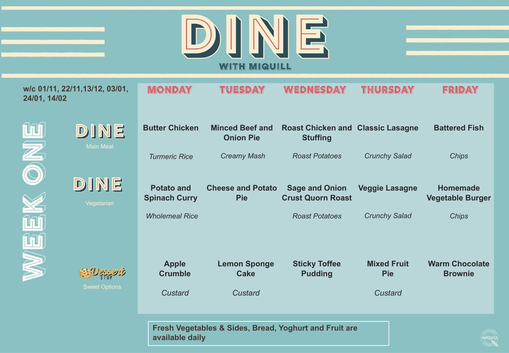

| and the state of the state of the state of the state of the state of the state of the state of the state of th |  |  |
|----------------------------------------------------------------------------------------------------------------|--|--|
|                                                                                                                |  |  |
| the control of the control of the control of                                                                   |  |  |
|                                                                                                                |  |  |

MIQUILL

| 24/01, 14/02  | w/c 01/11, 22/11, 13/12, 03/01,          | MONDAY                                    | Tuesday                                    | Wednesday                                                   | thursday              | FRIDAY                                     |
|---------------|------------------------------------------|-------------------------------------------|--------------------------------------------|-------------------------------------------------------------|-----------------------|--------------------------------------------|
| <u> 141 I</u> | DINE<br><b>Main Meal</b>                 | <b>Butter Chicken</b>                     | <b>Minced Beef and</b><br><b>Onion Pie</b> | <b>Roast Chicken and Classic Lasagne</b><br><b>Stuffing</b> |                       | <b>Battered Fish</b>                       |
| NO.           |                                          | <b>Turmeric Rice</b>                      | <b>Creamy Mash</b>                         | <b>Roast Potatoes</b>                                       | <b>Crunchy Salad</b>  | <b>Chips</b>                               |
|               | DINE<br>Vegetarian                       | <b>Potato and</b><br><b>Spinach Curry</b> | <b>Cheese and Potato</b><br><b>Pie</b>     | <b>Sage and Onion</b><br><b>Crust Quorn Roast</b>           | <b>Veggie Lasagne</b> | <b>Homemade</b><br><b>Vegetable Burger</b> |
|               |                                          | <b>Wholemeal Rice</b>                     |                                            | <b>Roast Potatoes</b>                                       | <b>Crunchy Salad</b>  | <b>Chips</b>                               |
| S             |                                          | <b>Apple</b>                              | <b>Lemon Sponge</b>                        | <b>Sticky Toffee</b>                                        | <b>Mixed Fruit</b>    | <b>Warm Chocolate</b>                      |
|               | <b>BEDGADOUS</b><br><b>Sweet Options</b> | <b>Crumble</b><br>Custard                 | <b>Cake</b><br>Custard                     | <b>Pudding</b>                                              | <b>Pie</b><br>Custard | <b>Brownie</b>                             |

**Fresh Vegetables & Sides, Bread, Yoghurt and Fruit are available daily**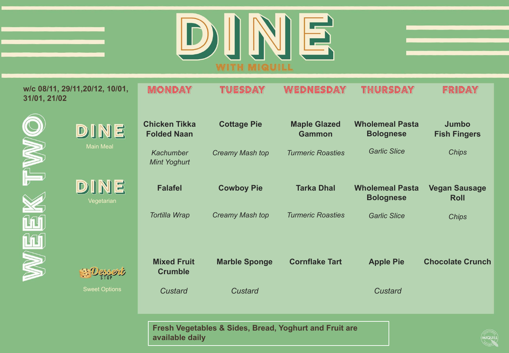

**Jumbo Fish Fingers** 

FRIDAY

*Chips*

MIQUILL

| 31/01, 21/02 | w/c 08/11, 29/11, 20/12, 10/01, | MOND                                       |                        |
|--------------|---------------------------------|--------------------------------------------|------------------------|
|              | DINE                            | <b>Chicken Tikka</b><br><b>Folded Naan</b> | <b>Cottage Pie</b>     |
|              | <b>Main Meal</b>                | <b>Kachumber</b><br>Mint Yoghurt           | <b>Creamy Mash top</b> |
|              | DINE<br>Vegetarian              | <b>Falafel</b>                             | <b>Cowboy Pie</b>      |
|              |                                 | <b>Tortilla Wrap</b>                       | Creamy Mash top        |
|              |                                 |                                            |                        |
|              |                                 | <b>Mixed Fruit</b><br><b>Crumble</b>       | <b>Marble Sponge</b>   |

Sweet Options

**Cowboy Pie** *Creamy Mash top* **Tarka Dhal** *Turmeric Roasties* **Wholemeal Pasta Bolognese**  *Garlic Slice* **Vegan Sausage Roll** *Chips Custard* **Marble Sponge** *Custard*  **Cornflake Tart Apple Pie**  *Custard* **Chocolate Crunch** 

**Maple Glazed Gammon** 

WEDNESDAY

**Wholemeal Pasta Bolognese**

THURSDAY

*Garlic Slice*

*Turmeric Roasties*

**Fresh Vegetables & Sides, Bread, Yoghurt and Fruit are available daily**